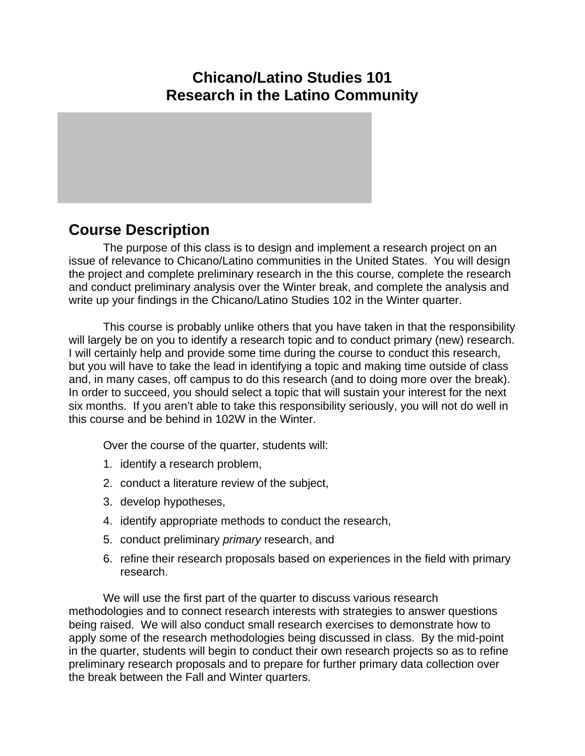## **Chicano/Latino Studies 101 Research in the Latino Community**



# **Course Description**

The purpose of this class is to design and implement a research project on an issue of relevance to Chicano/Latino communities in the United States. You will design the project and complete preliminary research in the this course, complete the research and conduct preliminary analysis over the Winter break, and complete the analysis and write up your findings in the Chicano/Latino Studies 102 in the Winter quarter.

This course is probably unlike others that you have taken in that the responsibility will largely be on you to identify a research topic and to conduct primary (new) research. I will certainly help and provide some time during the course to conduct this research, but you will have to take the lead in identifying a topic and making time outside of class and, in many cases, off campus to do this research (and to doing more over the break). In order to succeed, you should select a topic that will sustain your interest for the next six months. If you aren't able to take this responsibility seriously, you will not do well in this course and be behind in 102W in the Winter.

Over the course of the quarter, students will:

- 1. identify a research problem,
- 2. conduct a literature review of the subject,
- 3. develop hypotheses,
- 4. identify appropriate methods to conduct the research,
- 5. conduct preliminary *primary* research, and
- 6. refine their research proposals based on experiences in the field with primary research.

 We will use the first part of the quarter to discuss various research methodologies and to connect research interests with strategies to answer questions being raised. We will also conduct small research exercises to demonstrate how to apply some of the research methodologies being discussed in class. By the mid-point in the quarter, students will begin to conduct their own research projects so as to refine preliminary research proposals and to prepare for further primary data collection over the break between the Fall and Winter quarters.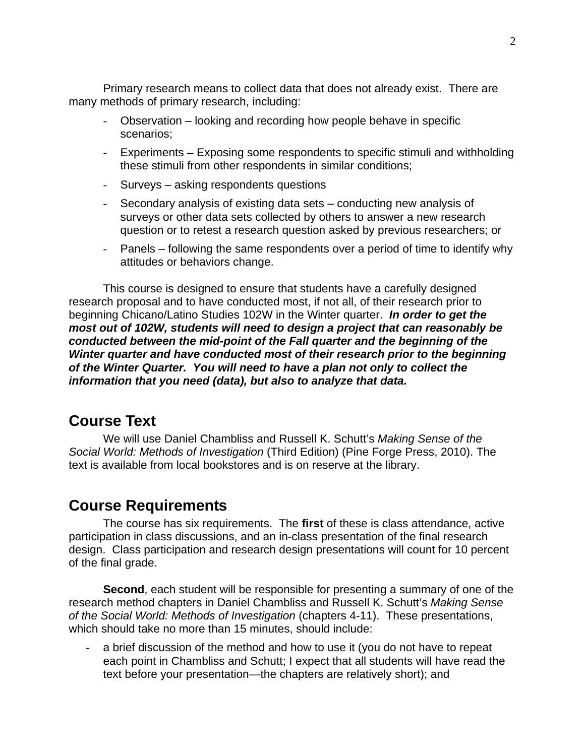Primary research means to collect data that does not already exist. There are many methods of primary research, including:

- Observation looking and recording how people behave in specific scenarios;
- Experiments Exposing some respondents to specific stimuli and withholding these stimuli from other respondents in similar conditions;
- Surveys asking respondents questions
- Secondary analysis of existing data sets conducting new analysis of surveys or other data sets collected by others to answer a new research question or to retest a research question asked by previous researchers; or
- Panels following the same respondents over a period of time to identify why attitudes or behaviors change.

This course is designed to ensure that students have a carefully designed research proposal and to have conducted most, if not all, of their research prior to beginning Chicano/Latino Studies 102W in the Winter quarter. *In order to get the most out of 102W, students will need to design a project that can reasonably be conducted between the mid-point of the Fall quarter and the beginning of the Winter quarter and have conducted most of their research prior to the beginning of the Winter Quarter. You will need to have a plan not only to collect the information that you need (data), but also to analyze that data.*

# **Course Text**

We will use Daniel Chambliss and Russell K. Schutt's *Making Sense of the Social World: Methods of Investigation* (Third Edition) (Pine Forge Press, 2010). The text is available from local bookstores and is on reserve at the library.

## **Course Requirements**

 The course has six requirements. The **first** of these is class attendance, active participation in class discussions, and an in-class presentation of the final research design. Class participation and research design presentations will count for 10 percent of the final grade.

**Second**, each student will be responsible for presenting a summary of one of the research method chapters in Daniel Chambliss and Russell K. Schutt's *Making Sense of the Social World: Methods of Investigation* (chapters 4-11). These presentations, which should take no more than 15 minutes, should include:

a brief discussion of the method and how to use it (you do not have to repeat each point in Chambliss and Schutt; I expect that all students will have read the text before your presentation—the chapters are relatively short); and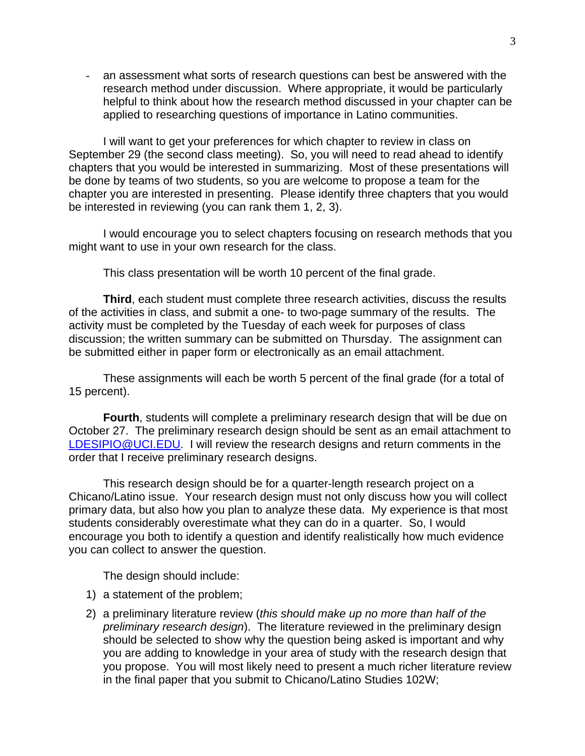- an assessment what sorts of research questions can best be answered with the research method under discussion. Where appropriate, it would be particularly helpful to think about how the research method discussed in your chapter can be applied to researching questions of importance in Latino communities.

I will want to get your preferences for which chapter to review in class on September 29 (the second class meeting). So, you will need to read ahead to identify chapters that you would be interested in summarizing. Most of these presentations will be done by teams of two students, so you are welcome to propose a team for the chapter you are interested in presenting. Please identify three chapters that you would be interested in reviewing (you can rank them 1, 2, 3).

I would encourage you to select chapters focusing on research methods that you might want to use in your own research for the class.

This class presentation will be worth 10 percent of the final grade.

**Third**, each student must complete three research activities, discuss the results of the activities in class, and submit a one- to two-page summary of the results. The activity must be completed by the Tuesday of each week for purposes of class discussion; the written summary can be submitted on Thursday. The assignment can be submitted either in paper form or electronically as an email attachment.

These assignments will each be worth 5 percent of the final grade (for a total of 15 percent).

**Fourth**, students will complete a preliminary research design that will be due on October 27. The preliminary research design should be sent as an email attachment to [LDESIPIO@UCI.EDU.](mailto:LDESIPIO@UCI.EDU) I will review the research designs and return comments in the order that I receive preliminary research designs.

This research design should be for a quarter-length research project on a Chicano/Latino issue. Your research design must not only discuss how you will collect primary data, but also how you plan to analyze these data. My experience is that most students considerably overestimate what they can do in a quarter. So, I would encourage you both to identify a question and identify realistically how much evidence you can collect to answer the question.

The design should include:

- 1) a statement of the problem;
- 2) a preliminary literature review (*this should make up no more than half of the preliminary research design*). The literature reviewed in the preliminary design should be selected to show why the question being asked is important and why you are adding to knowledge in your area of study with the research design that you propose. You will most likely need to present a much richer literature review in the final paper that you submit to Chicano/Latino Studies 102W;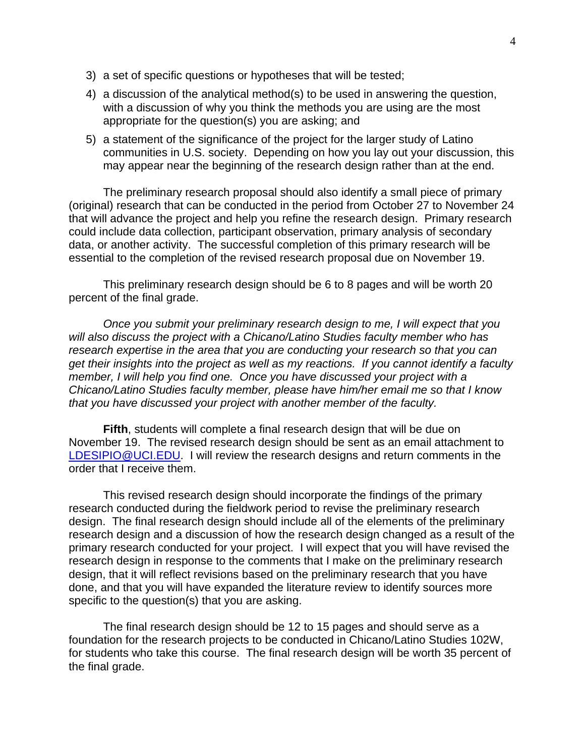- 3) a set of specific questions or hypotheses that will be tested;
- 4) a discussion of the analytical method(s) to be used in answering the question, with a discussion of why you think the methods you are using are the most appropriate for the question(s) you are asking; and
- 5) a statement of the significance of the project for the larger study of Latino communities in U.S. society. Depending on how you lay out your discussion, this may appear near the beginning of the research design rather than at the end.

The preliminary research proposal should also identify a small piece of primary (original) research that can be conducted in the period from October 27 to November 24 that will advance the project and help you refine the research design. Primary research could include data collection, participant observation, primary analysis of secondary data, or another activity. The successful completion of this primary research will be essential to the completion of the revised research proposal due on November 19.

This preliminary research design should be 6 to 8 pages and will be worth 20 percent of the final grade.

 *Once you submit your preliminary research design to me, I will expect that you will also discuss the project with a Chicano/Latino Studies faculty member who has research expertise in the area that you are conducting your research so that you can get their insights into the project as well as my reactions. If you cannot identify a faculty member, I will help you find one. Once you have discussed your project with a Chicano/Latino Studies faculty member, please have him/her email me so that I know that you have discussed your project with another member of the faculty.* 

**Fifth**, students will complete a final research design that will be due on November 19. The revised research design should be sent as an email attachment to [LDESIPIO@UCI.EDU.](mailto:LDESIPIO@UCI.EDU) I will review the research designs and return comments in the order that I receive them.

This revised research design should incorporate the findings of the primary research conducted during the fieldwork period to revise the preliminary research design. The final research design should include all of the elements of the preliminary research design and a discussion of how the research design changed as a result of the primary research conducted for your project. I will expect that you will have revised the research design in response to the comments that I make on the preliminary research design, that it will reflect revisions based on the preliminary research that you have done, and that you will have expanded the literature review to identify sources more specific to the question(s) that you are asking.

The final research design should be 12 to 15 pages and should serve as a foundation for the research projects to be conducted in Chicano/Latino Studies 102W, for students who take this course. The final research design will be worth 35 percent of the final grade.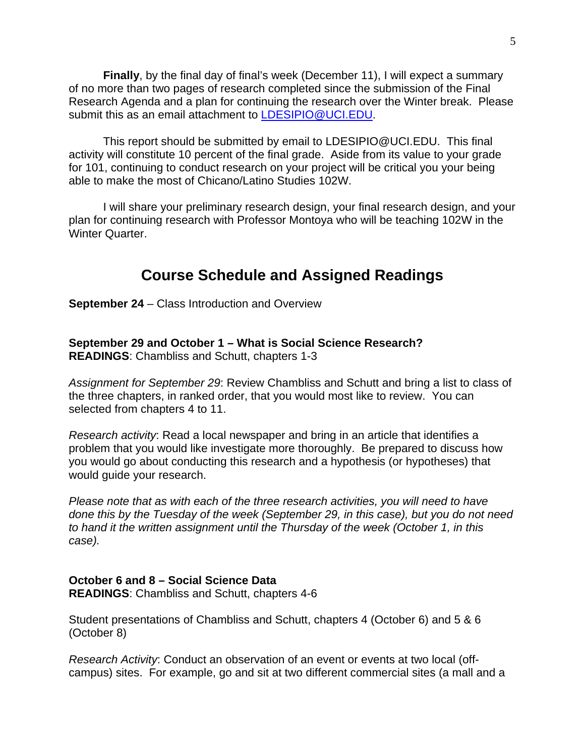**Finally**, by the final day of final's week (December 11), I will expect a summary of no more than two pages of research completed since the submission of the Final Research Agenda and a plan for continuing the research over the Winter break. Please submit this as an email attachment to [LDESIPIO@UCI.EDU](mailto:LDESIPIO@UCI.EDU).

This report should be submitted by email to LDESIPIO@UCI.EDU. This final activity will constitute 10 percent of the final grade. Aside from its value to your grade for 101, continuing to conduct research on your project will be critical you your being able to make the most of Chicano/Latino Studies 102W.

I will share your preliminary research design, your final research design, and your plan for continuing research with Professor Montoya who will be teaching 102W in the Winter Quarter.

## **Course Schedule and Assigned Readings**

**September 24** – Class Introduction and Overview

**September 29 and October 1 – What is Social Science Research? READINGS**: Chambliss and Schutt, chapters 1-3

*Assignment for September 29*: Review Chambliss and Schutt and bring a list to class of the three chapters, in ranked order, that you would most like to review. You can selected from chapters 4 to 11.

*Research activity*: Read a local newspaper and bring in an article that identifies a problem that you would like investigate more thoroughly. Be prepared to discuss how you would go about conducting this research and a hypothesis (or hypotheses) that would guide your research.

*Please note that as with each of the three research activities, you will need to have done this by the Tuesday of the week (September 29, in this case), but you do not need to hand it the written assignment until the Thursday of the week (October 1, in this case).* 

#### **October 6 and 8 – Social Science Data READINGS**: Chambliss and Schutt, chapters 4-6

Student presentations of Chambliss and Schutt, chapters 4 (October 6) and 5 & 6 (October 8)

*Research Activity*: Conduct an observation of an event or events at two local (offcampus) sites. For example, go and sit at two different commercial sites (a mall and a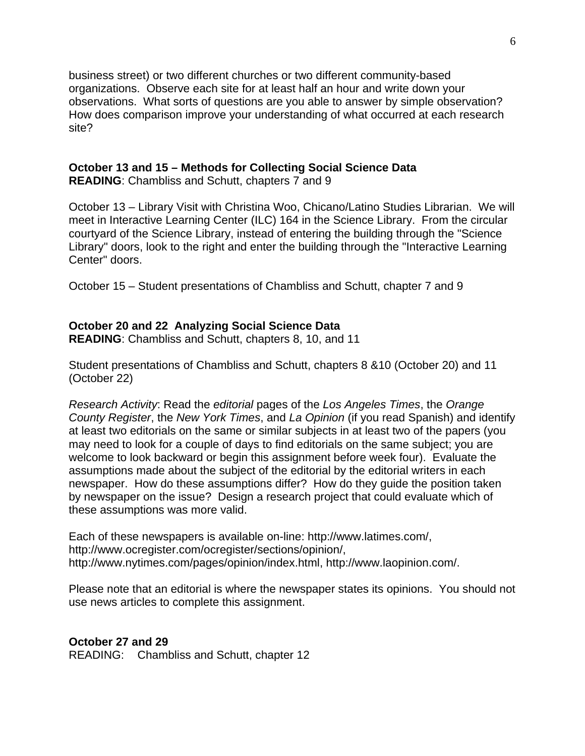business street) or two different churches or two different community-based organizations. Observe each site for at least half an hour and write down your observations. What sorts of questions are you able to answer by simple observation? How does comparison improve your understanding of what occurred at each research site?

# **October 13 and 15 – Methods for Collecting Social Science Data**

**READING**: Chambliss and Schutt, chapters 7 and 9

October 13 – Library Visit with Christina Woo, Chicano/Latino Studies Librarian. We will meet in Interactive Learning Center (ILC) 164 in the Science Library. From the circular courtyard of the Science Library, instead of entering the building through the "Science Library" doors, look to the right and enter the building through the "Interactive Learning Center" doors.

October 15 – Student presentations of Chambliss and Schutt, chapter 7 and 9

## **October 20 and 22 Analyzing Social Science Data**

**READING**: Chambliss and Schutt, chapters 8, 10, and 11

Student presentations of Chambliss and Schutt, chapters 8 &10 (October 20) and 11 (October 22)

*Research Activity*: Read the *editorial* pages of the *Los Angeles Times*, the *Orange County Register*, the *New York Times*, and *La Opinion* (if you read Spanish) and identify at least two editorials on the same or similar subjects in at least two of the papers (you may need to look for a couple of days to find editorials on the same subject; you are welcome to look backward or begin this assignment before week four). Evaluate the assumptions made about the subject of the editorial by the editorial writers in each newspaper. How do these assumptions differ? How do they guide the position taken by newspaper on the issue? Design a research project that could evaluate which of these assumptions was more valid.

Each of these newspapers is available on-line: http://www.latimes.com/, http://www.ocregister.com/ocregister/sections/opinion/, http://www.nytimes.com/pages/opinion/index.html, http://www.laopinion.com/.

Please note that an editorial is where the newspaper states its opinions. You should not use news articles to complete this assignment.

## **October 27 and 29**

READING: Chambliss and Schutt, chapter 12